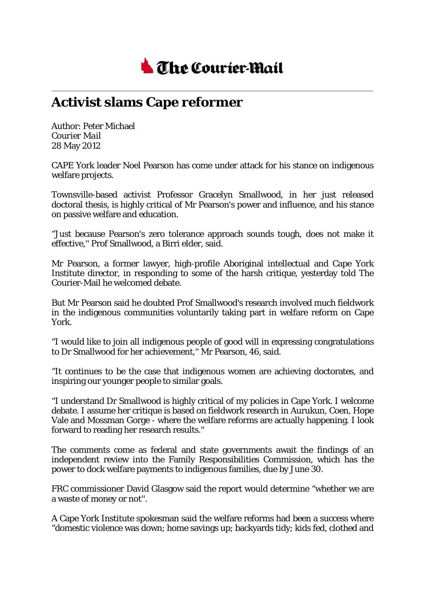

## **Activist slams Cape reformer**

Author: Peter Michael *Courier Mail* 28 May 2012

CAPE York leader Noel Pearson has come under attack for his stance on indigenous welfare projects.

Townsville-based activist Professor Gracelyn Smallwood, in her just released doctoral thesis, is highly critical of Mr Pearson's power and influence, and his stance on passive welfare and education.

"Just because Pearson's zero tolerance approach sounds tough, does not make it effective,'' Prof Smallwood, a Birri elder, said.

Mr Pearson, a former lawyer, high-profile Aboriginal intellectual and Cape York Institute director, in responding to some of the harsh critique, yesterday told The Courier-Mail he welcomed debate.

But Mr Pearson said he doubted Prof Smallwood's research involved much fieldwork in the indigenous communities voluntarily taking part in welfare reform on Cape York.

"I would like to join all indigenous people of good will in expressing congratulations to Dr Smallwood for her achievement,'' Mr Pearson, 46, said.

"It continues to be the case that indigenous women are achieving doctorates, and inspiring our younger people to similar goals.

"I understand Dr Smallwood is highly critical of my policies in Cape York. I welcome debate. I assume her critique is based on fieldwork research in Aurukun, Coen, Hope Vale and Mossman Gorge - where the welfare reforms are actually happening. I look forward to reading her research results.''

The comments come as federal and state governments await the findings of an independent review into the Family Responsibilities Commission, which has the power to dock welfare payments to indigenous families, due by June 30.

FRC commissioner David Glasgow said the report would determine "whether we are a waste of money or not''.

A Cape York Institute spokesman said the welfare reforms had been a success where "domestic violence was down; home savings up; backyards tidy; kids fed, clothed and